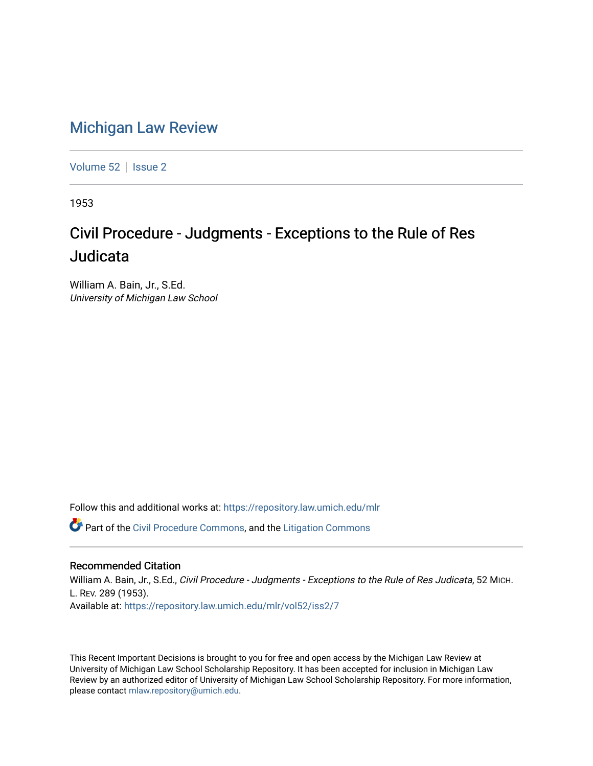## [Michigan Law Review](https://repository.law.umich.edu/mlr)

[Volume 52](https://repository.law.umich.edu/mlr/vol52) | [Issue 2](https://repository.law.umich.edu/mlr/vol52/iss2)

1953

## Civil Procedure - Judgments - Exceptions to the Rule of Res Judicata

William A. Bain, Jr., S.Ed. University of Michigan Law School

Follow this and additional works at: [https://repository.law.umich.edu/mlr](https://repository.law.umich.edu/mlr?utm_source=repository.law.umich.edu%2Fmlr%2Fvol52%2Fiss2%2F7&utm_medium=PDF&utm_campaign=PDFCoverPages) 

**C** Part of the [Civil Procedure Commons,](http://network.bepress.com/hgg/discipline/584?utm_source=repository.law.umich.edu%2Fmlr%2Fvol52%2Fiss2%2F7&utm_medium=PDF&utm_campaign=PDFCoverPages) and the Litigation Commons

## Recommended Citation

William A. Bain, Jr., S.Ed., Civil Procedure - Judgments - Exceptions to the Rule of Res Judicata, 52 MICH. L. REV. 289 (1953). Available at: [https://repository.law.umich.edu/mlr/vol52/iss2/7](https://repository.law.umich.edu/mlr/vol52/iss2/7?utm_source=repository.law.umich.edu%2Fmlr%2Fvol52%2Fiss2%2F7&utm_medium=PDF&utm_campaign=PDFCoverPages)

This Recent Important Decisions is brought to you for free and open access by the Michigan Law Review at University of Michigan Law School Scholarship Repository. It has been accepted for inclusion in Michigan Law Review by an authorized editor of University of Michigan Law School Scholarship Repository. For more information, please contact [mlaw.repository@umich.edu.](mailto:mlaw.repository@umich.edu)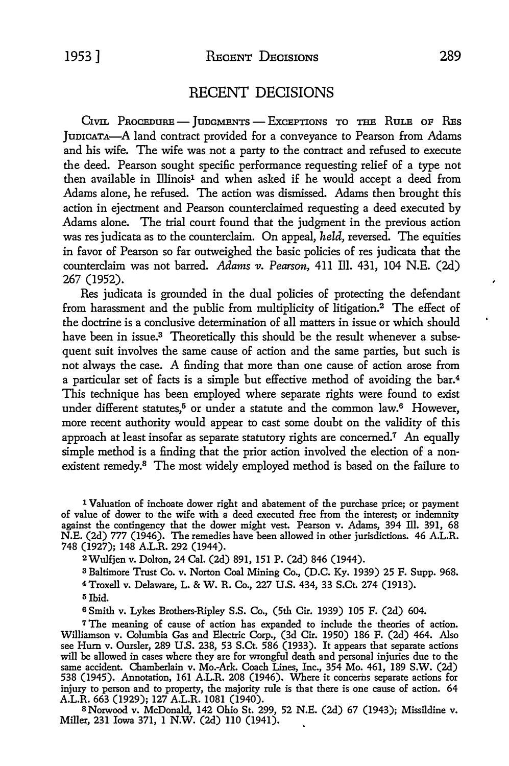## RECENT DECISIONS

CIVIL PROCEDURE - JUDGMENTS - EXCEPTIONS TO THE RULE OF RES JunICATA-A land contract provided for a conveyance to Pearson from Adams and his wife. The wife was not a party *to* the contract and refused *to* execute the deed. Pearson sought specific performance requesting relief of a type not then available in Illinois**1** and when asked if he would accept a deed from Adams alone, he refused. The action was dismissed. Adams then brought this action in ejectment and Pearson counterclaimed requesting a deed executed by Adams alone. The trial court found that the judgment in the previous action was res judicata as to the counterclaim. On appeal, *held,* reversed. The equities in favor of Pearson so far outweighed the basic policies of res judicata that the counterclaim was not barred. *Adams v. Pearson*, 411 Ill. 431, 104 N.E. (2d) 267 (1952).

Res judicata is grounded in the dual policies of protecting the defendant from harassment and the public from multiplicity of litigation.**2** The effect of the doctrine is a conclusive determination of all matters in issue or which should have been in issue.**3** Theoretically this should be the result whenever a subsequent suit involves the same cause of action and the same parties, but such is not always the case. A finding that more than one cause of action arose from a particular set of facts is a simple but effective method of avoiding the bar.**4** This technique has been employed where separate rights were found to exist under different statutes,<sup>5</sup> or under a statute and the common law.<sup>6</sup> However, more recent authority would appear to cast some doubt on the validity of this approach at least insofar as separate statutory rights are concerned.7 An equally simple method is a finding that the prior action involved the election of a nonexistent remedy.**8** The most widely employed method is based on the failure to

<sup>1</sup>**Valuation of inchoate dower right and abatement of the purchase price; or payment of value of dower to the wife with a deed executed free from the interest; or indemnity against the contingency that the dower might vest. Pearson v. Adams, 394 ill. 391, 68 N.E. (2d) 777 (1946). The remedies have been allowed in other jurisdictions. 46 A.L.R. 748 (1927); 148 A.L.R. 292 (1944).** 

**2Wulfjen v. Dolton, 24 Cal. (2d) 891, 151 P. (2d) 846 (1944).** 

**3 Baltimore Trust Co. v. Norton Coal Mining Co., (D.C. Ky. 1939) 25 F. Supp. 968.** 

**4Troxell v. Delaware, L. & W.R. Co., 227 U.S. 434, 33 S.Ct. 274 (1913).** 

**5 Ibid.** 

**6 Smith v. Lykes Brothers-Ripley S.S. Co., (5th Cir. 1939) 105 F. (2d) 604.** 

**7 The meaning of cause of action has expanded to include the theories of action. Williamson v. Columbia Gas and Electric Corp., (3d Cir. 1950) 186 F. (2d) 464. Also see Hurn v. Oursler, 289 U.S. 238, 53 S.Ct. 586 (1933). It appears that separate actions will be allowed in cases where they are for wrongful death and personal injuries due to the same accident. Chamberlain v. Mo.-Ark. Coach Lines, Inc., 354 Mo. 461, 189 S.W. (2d) 538 (1945). Annotation, 161 A.L.R. 208 (1946). Where it concerns separate actions for injury to person and to property, the majority rule is that there is one cause of action. 64 A.L.R. 663 (1929); 127 A.L.R. 1081 (1940).**

**SNorwood v. McDonald, 142 Ohio St. 299, 52 N.E. (2d) 67 (1943); Missildine v. Miller, 231 Iowa 371, 1 N.W. (2d) 110 (1941).**